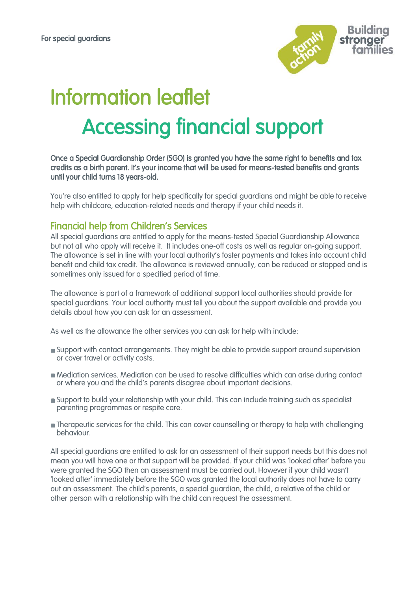

# Information leaflet Accessing financial support

Once a Special Guardianship Order (SGO) is granted you have the same right to benefits and tax credits as a birth parent. It's your income that will be used for means-tested benefits and grants until your child turns 18 years-old.

You're also entitled to apply for help specifically for special guardians and might be able to receive help with childcare, education-related needs and therapy if your child needs it.

## Financial help from Children's Services

All special guardians are entitled to apply for the means-tested Special Guardianship Allowance but not all who apply will receive it. It includes one-off costs as well as regular on-going support. The allowance is set in line with your local authority's foster payments and takes into account child benefit and child tax credit. The allowance is reviewed annually, can be reduced or stopped and is sometimes only issued for a specified period of time.

The allowance is part of a framework of additional support local authorities should provide for special guardians. Your local authority must tell you about the support available and provide you details about how you can ask for an assessment.

As well as the allowance the other services you can ask for help with include:

- Support with [contact](https://www.specialguardiansupport.org.uk/managing-birth-family-contact/) arrangements. They might be able to provide support around supervision or cover travel or activity costs.
- Mediation services. Mediation can be used to resolve difficulties which can arise during contact or where you and the child's parents disagree about important decisions.
- Support to build your relationship with your child. This can include training such as specialist parenting programmes or respite care.
- **n** Therapeutic services for the child. This can cover counselling or therapy to help with challenging [behaviour.](https://www.specialguardiansupport.org.uk/managing-challenging-behaviour/)

All special guardians are entitled to ask for an assessment of their support needs but this does not mean you will have one or that support will be provided. If your child was 'looked after' before you were granted the SGO then an assessment must be carried out. However if your child wasn't 'looked after' immediately before the SGO was granted the local authority does not have to carry out an assessment. The child's parents, a special guardian, the child, a relative of the child or other person with a relationship with the child can request the assessment.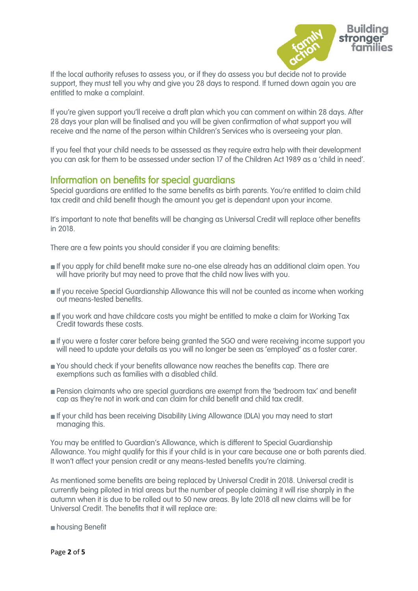

If the local authority refuses to assess you, or if they do assess you but decide not to provide support, they must tell you why and give you 28 days to respond. If turned down again you are entitled to make a complaint.

If you're given support you'll receive a draft plan which you can comment on within 28 days. After 28 days your plan will be finalised and you will be given confirmation of what support you will receive and the name of the person within Children's Services who is overseeing your plan.

If you feel that your child needs to be assessed as they require extra help with their development you can ask for them to be assessed under section 17 of the Children Act 1989 as a 'child in need'.

## Information on benefits for special guardians

Special guardians are entitled to the same benefits as birth parents. You're entitled to claim child tax credit and child benefit though the amount you get is dependant upon your income.

It's important to note that benefits will be changing as Universal Credit will replace other benefits in 2018.

There are a few points you should consider if you are claiming benefits:

- If you apply for child benefit make sure no-one else already has an additional claim open. You will have priority but may need to prove that the child now lives with you.
- If you receive Special Guardianship Allowance this will not be counted as income when working out means-tested benefits.
- If you work and have childcare costs you might be entitled to make a claim for Working Tax Credit towards these costs.
- **If you were a foster carer before being granted the SGO and were receiving income support you** will need to update your details as you will no longer be seen as 'employed' as a foster carer.
- You should check if your benefits allowance now reaches the benefits cap. There are exemptions such as families with a disabled child.
- Pension claimants who are special guardians are exempt from the 'bedroom tax' and benefit cap as they're not in work and can claim for child benefit and child tax credit.
- If your child has been receiving Disability Living Allowance (DLA) you may need to start managing this.

You may be entitled to Guardian's Allowance, which is different to Special Guardianship Allowance. You might qualify for this if your child is in your care because one or both parents died. It won't affect your pension credit or any means-tested benefits you're claiming.

As mentioned some benefits are being replaced by Universal Credit in 2018. Universal credit is currently being piloted in trial areas but the number of people claiming it will rise sharply in the autumn when it is due to be rolled out to 50 new areas. By late 2018 all new claims will be for Universal Credit. The benefits that it will replace are:

housing Benefit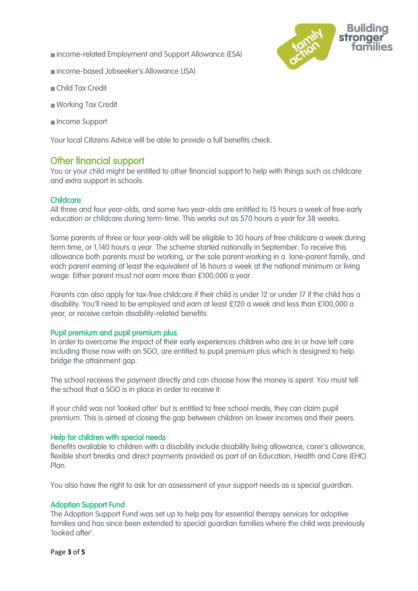income-related Employment and Support Allowance (ESA)



- Child Tax Credit
- Working Tax Credit
- Income Support

Your loca[l Citizens Advice](https://www.citizensadvice.org.uk/about-us/how-we-provide-advice/advice/search-for-your-local-citizens-advice/) will be able to provide a full benefits check.

## Other financial support

You or your child might be entitled to other financial support to help with things such as childcare and extra support in schools.

## Childcare

All three and four year-olds, and some two year-olds are entitled to 15 hours a week of free early education or childcare during term-time. This works out as 570 hours a year for 38 weeks.

Some parents of three or four year-olds will be eligible to 30 hours of free childcare a week during term time, or 1,140 hours a year. The scheme started nationally in September. To receive this allowance both parents must be working, or the sole parent working in a lone-parent family, and each parent earning at least the equivalent of 16 hours a week at the national minimum or living wage. Either parent must not earn more than £100,000 a year.

Parents can also apply for tax-free childcare if their child is under 12 or under 17 if the child has a disability. You'll need to be employed and earn at least £120 a week and less than £100,000 a year, or receive certain disability-related benefits.

### Pupil premium and pupil premium plus

In order to overcome the impact of their early experiences children who are in or have left care including those now with an SGO, are entitled to pupil premium plus which is designed to help bridge the attainment gap.

The school receives the payment directly and can choose how the money is spent. You must tell the school that a SGO is in place in order to receive it.

If your child was not 'looked after' but is entitled to [free school meals,](https://www.specialguardiansupport.org.uk/working-with-your-school/#title_3) they can claim pupil premium. This is aimed at closing the gap between children on lower incomes and their peers.

### Help for children with special needs

Benefits available to children with a disability include disability living allowance, carer's allowance, flexible short breaks and direct payments provided as part of an Education, Health and Care (EHC) Plan.

You also have the right to ask for an assessment of your support needs as a special guardian.

### Adoption Support Fund

The Adoption Support Fund was set up to help pay for essential therapy services for adoptive families and has since been extended to special guardian families where the child was previously 'looked after'.

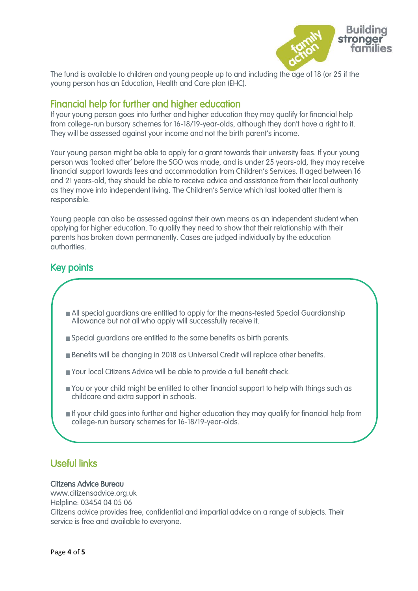

The fund is available to children and young people up to and including the age of 18 (or 25 if the young person has an Education, Health and Care plan (EHC).

## Financial help for further and higher education

If your young person goes into further and higher education they may qualify for financial help from college-run bursary schemes for 16-18/19-year-olds, although they don't have a right to it. They will be assessed against your income and not the birth parent's income.

Your young person might be able to apply for a grant towards their university fees. If your young person was 'looked after' before the SGO was made, and is under 25 years-old, they may receive financial support towards fees and accommodation from Children's Services. If aged between 16 and 21 years-old, they should be able to receive advice and assistance from their local authority as they move into independent living. The Children's Service which last looked after them is responsible.

Young people can also be assessed against their own means as an independent student when applying for higher education. To qualify they need to show that their relationship with their parents has broken down permanently. Cases are judged individually by the education authorities.

## Key points

Ι

- All special guardians are entitled to apply for the means-tested Special Guardianship Allowance but not all who apply will successfully receive it.
- Special guardians are entitled to the same benefits as birth parents.
- Benefits will be changing in 2018 as Universal Credit will replace other benefits.
- Your local Citizens Advice will be able to provide a full benefit check.
- You or your child might be entitled to other financial support to help with things such as childcare and extra support in schools.
- If your child goes into further and higher education they may qualify for financial help from college-run bursary schemes for 16-18/19-year-olds.

# Useful links

### Citizens Advice Bureau

www.citizensadvice.org.uk Helpline: 03454 04 05 06 Citizens advice provides free, confidential and impartial advice on a range of subjects. Their service is free and available to everyone.